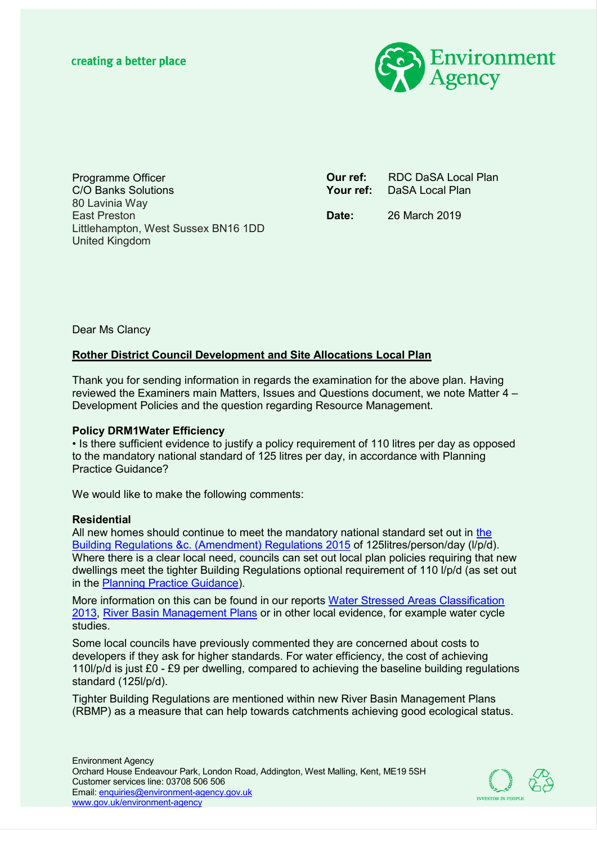

Programme Officer C/O Banks Solutions 80 Lavinia Way East Preston Littlehampton, West Sussex BN16 1DD United Kingdom

**Our ref:** RDC DaSA Local Plan Your ref: DaSA Local Plan

**Date:** 26 March 2019

Dear Ms Clancy

# **Rother District Council Development and Site Allocations Local Plan**

Thank you for sending information in regards the examination for the above plan. Having reviewed the Examiners main Matters, Issues and Questions document, we note Matter 4 – Development Policies and the question regarding Resource Management.

## **Policy DRM1Water Efficiency**

• Is there sufficient evidence to justify a policy requirement of 110 litres per day as opposed to the mandatory national standard of 125 litres per day, in accordance with Planning Practice Guidance?

We would like to make the following comments:

## **Residential**

All new homes should continue to meet the mandatory national standard set out in the Building Regulations &c. (Amendment) Regulations 2015 of 125litres/person/day (l/p/d). Where there is a clear local need, councils can set out local plan policies requiring that new dwellings meet the tighter Building Regulations optional requirement of 110 l/p/d (as set out in the **Planning Practice Guidance**).

More information on this can be found in our reports Water Stressed Areas Classification 2013, River Basin Management Plans or in other local evidence, for example water cycle studies.

Some local councils have previously commented they are concerned about costs to developers if they ask for higher standards. For water efficiency, the cost of achieving 110l/p/d is just £0 - £9 per dwelling, compared to achieving the baseline building regulations standard (125l/p/d).

Tighter Building Regulations are mentioned within new River Basin Management Plans (RBMP) as a measure that can help towards catchments achieving good ecological status.

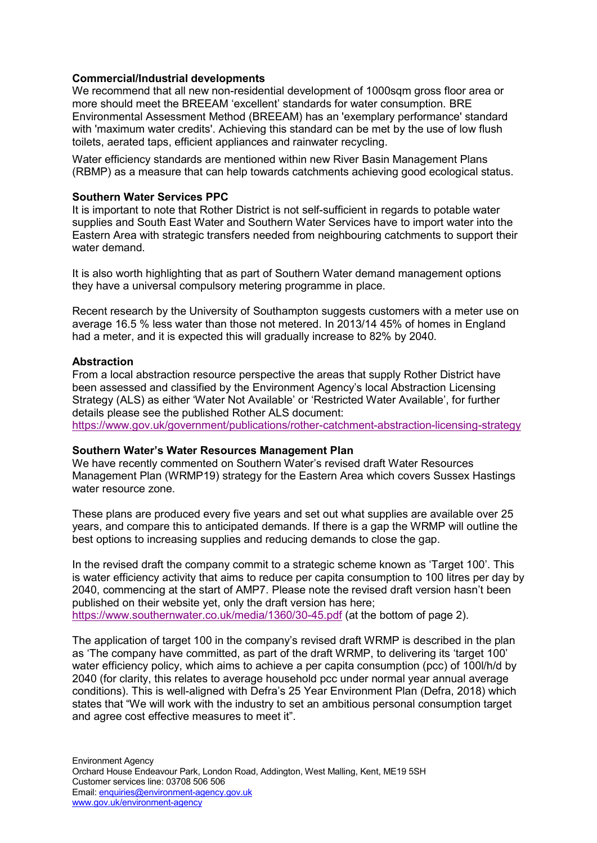### **Commercial/Industrial developments**

We recommend that all new non-residential development of 1000sqm gross floor area or more should meet the BREEAM 'excellent' standards for water consumption. BRE Environmental Assessment Method (BREEAM) has an 'exemplary performance' standard with 'maximum water credits'. Achieving this standard can be met by the use of low flush toilets, aerated taps, efficient appliances and rainwater recycling.

Water efficiency standards are mentioned within new River Basin Management Plans (RBMP) as a measure that can help towards catchments achieving good ecological status.

### **Southern Water Services PPC**

It is important to note that Rother District is not self-sufficient in regards to potable water supplies and South East Water and Southern Water Services have to import water into the Eastern Area with strategic transfers needed from neighbouring catchments to support their water demand.

It is also worth highlighting that as part of Southern Water demand management options they have a universal compulsory metering programme in place.

Recent research by the University of Southampton suggests customers with a meter use on average 16.5 % less water than those not metered. In 2013/14 45% of homes in England had a meter, and it is expected this will gradually increase to 82% by 2040.

### **Abstraction**

From a local abstraction resource perspective the areas that supply Rother District have been assessed and classified by the Environment Agency's local Abstraction Licensing Strategy (ALS) as either 'Water Not Available' or 'Restricted Water Available', for further details please see the published Rother ALS document:

https://www.gov.uk/government/publications/rother-catchment-abstraction-licensing-strategy

#### **Southern Water's Water Resources Management Plan**

We have recently commented on Southern Water's revised draft Water Resources Management Plan (WRMP19) strategy for the Eastern Area which covers Sussex Hastings water resource zone.

These plans are produced every five years and set out what supplies are available over 25 years, and compare this to anticipated demands. If there is a gap the WRMP will outline the best options to increasing supplies and reducing demands to close the gap.

In the revised draft the company commit to a strategic scheme known as 'Target 100'. This is water efficiency activity that aims to reduce per capita consumption to 100 litres per day by 2040, commencing at the start of AMP7. Please note the revised draft version hasn't been published on their website yet, only the draft version has here; https://www.southernwater.co.uk/media/1360/30-45.pdf (at the bottom of page 2).

The application of target 100 in the company's revised draft WRMP is described in the plan as 'The company have committed, as part of the draft WRMP, to delivering its 'target 100' water efficiency policy, which aims to achieve a per capita consumption (pcc) of 100l/h/d by 2040 (for clarity, this relates to average household pcc under normal year annual average conditions). This is well-aligned with Defra's 25 Year Environment Plan (Defra, 2018) which states that "We will work with the industry to set an ambitious personal consumption target and agree cost effective measures to meet it".